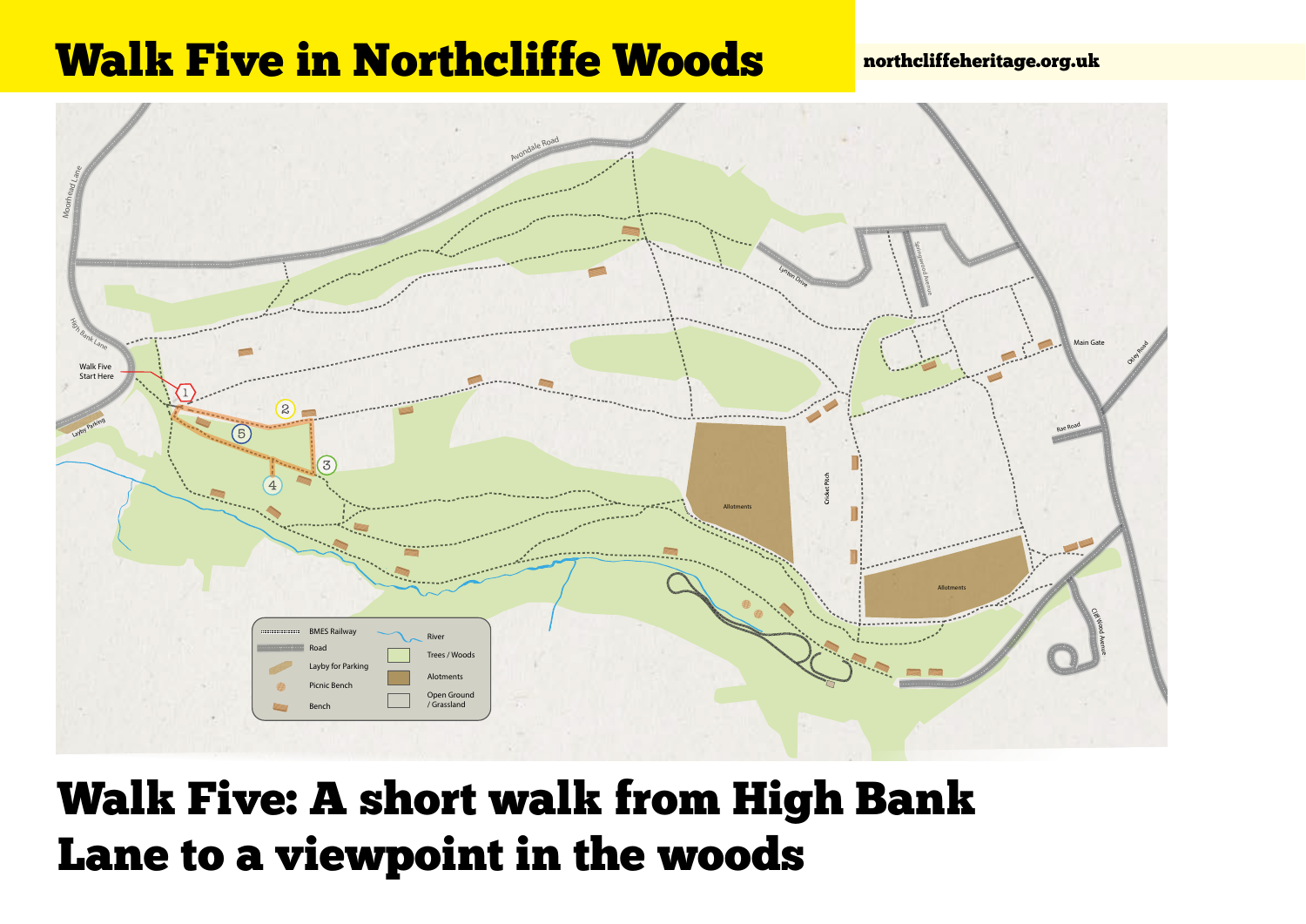## Walk Five in Northcliffe Woods **northcliffeheritage.org.uk**



## Walk Five: A short walk from High Bank Lane to a viewpoint in the woods